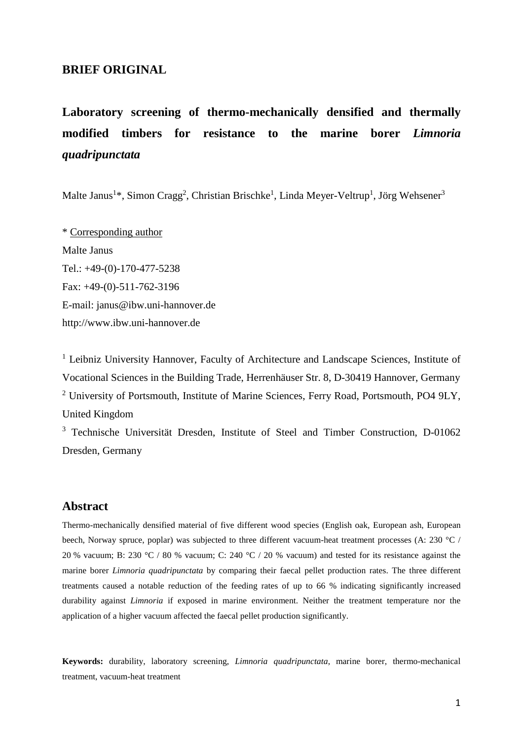# **BRIEF ORIGINAL**

# **Laboratory screening of thermo-mechanically densified and thermally modified timbers for resistance to the marine borer** *Limnoria quadripunctata*

Malte Janus<sup>1</sup>\*, Simon Cragg<sup>2</sup>, Christian Brischke<sup>1</sup>, Linda Meyer-Veltrup<sup>1</sup>, Jörg Wehsener<sup>3</sup>

\* Corresponding author Malte Janus Tel.: +49-(0)-170-477-5238 Fax: +49-(0)-511-762-3196 E-mail: janus@ibw.uni-hannover.de http://www.ibw.uni-hannover.de

<sup>1</sup> Leibniz University Hannover, Faculty of Architecture and Landscape Sciences, Institute of Vocational Sciences in the Building Trade, Herrenhäuser Str. 8, D-30419 Hannover, Germany <sup>2</sup> University of Portsmouth, Institute of Marine Sciences, Ferry Road, Portsmouth, PO4 9LY, United Kingdom

<sup>3</sup> Technische Universität Dresden, Institute of Steel and Timber Construction, D-01062 Dresden, Germany

### **Abstract**

Thermo-mechanically densified material of five different wood species (English oak, European ash, European beech, Norway spruce, poplar) was subjected to three different vacuum-heat treatment processes (A: 230 °C / 20 % vacuum; B: 230 °C / 80 % vacuum; C: 240 °C / 20 % vacuum) and tested for its resistance against the marine borer *Limnoria quadripunctata* by comparing their faecal pellet production rates. The three different treatments caused a notable reduction of the feeding rates of up to 66 % indicating significantly increased durability against *Limnoria* if exposed in marine environment. Neither the treatment temperature nor the application of a higher vacuum affected the faecal pellet production significantly.

**Keywords:** durability, laboratory screening, *Limnoria quadripunctata*, marine borer, thermo-mechanical treatment, vacuum-heat treatment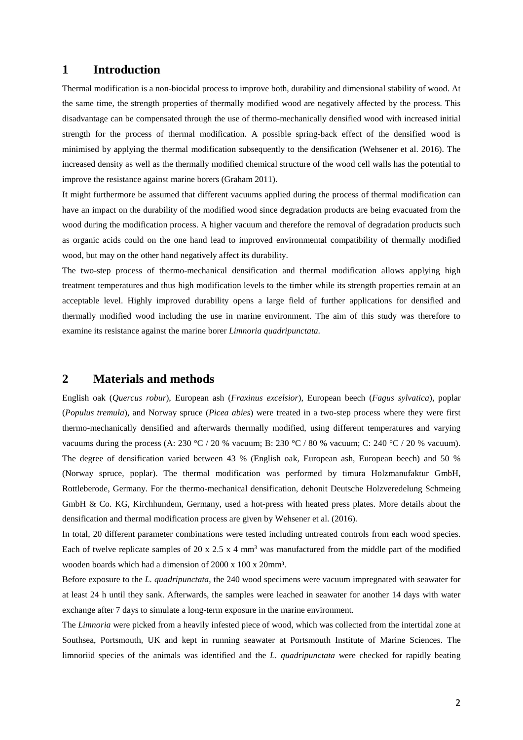#### **1 Introduction**

Thermal modification is a non-biocidal process to improve both, durability and dimensional stability of wood. At the same time, the strength properties of thermally modified wood are negatively affected by the process. This disadvantage can be compensated through the use of thermo-mechanically densified wood with increased initial strength for the process of thermal modification. A possible spring-back effect of the densified wood is minimised by applying the thermal modification subsequently to the densification (Wehsener et al. 2016). The increased density as well as the thermally modified chemical structure of the wood cell walls has the potential to improve the resistance against marine borers (Graham 2011).

It might furthermore be assumed that different vacuums applied during the process of thermal modification can have an impact on the durability of the modified wood since degradation products are being evacuated from the wood during the modification process. A higher vacuum and therefore the removal of degradation products such as organic acids could on the one hand lead to improved environmental compatibility of thermally modified wood, but may on the other hand negatively affect its durability.

The two-step process of thermo-mechanical densification and thermal modification allows applying high treatment temperatures and thus high modification levels to the timber while its strength properties remain at an acceptable level. Highly improved durability opens a large field of further applications for densified and thermally modified wood including the use in marine environment. The aim of this study was therefore to examine its resistance against the marine borer *Limnoria quadripunctata*.

#### **2 Materials and methods**

English oak (*Quercus robur*), European ash (*Fraxinus excelsior*), European beech (*Fagus sylvatica*), poplar (*Populus tremula*), and Norway spruce (*Picea abies*) were treated in a two-step process where they were first thermo-mechanically densified and afterwards thermally modified, using different temperatures and varying vacuums during the process (A: 230 °C / 20 % vacuum; B: 230 °C / 80 % vacuum; C: 240 °C / 20 % vacuum). The degree of densification varied between 43 % (English oak, European ash, European beech) and 50 % (Norway spruce, poplar). The thermal modification was performed by timura Holzmanufaktur GmbH, Rottleberode, Germany. For the thermo-mechanical densification, dehonit Deutsche Holzveredelung Schmeing GmbH & Co. KG, Kirchhundem, Germany, used a hot-press with heated press plates. More details about the densification and thermal modification process are given by Wehsener et al. (2016).

In total, 20 different parameter combinations were tested including untreated controls from each wood species. Each of twelve replicate samples of 20 x 2.5 x 4 mm<sup>3</sup> was manufactured from the middle part of the modified wooden boards which had a dimension of 2000 x 100 x 20mm³.

Before exposure to the *L. quadripunctata*, the 240 wood specimens were vacuum impregnated with seawater for at least 24 h until they sank. Afterwards, the samples were leached in seawater for another 14 days with water exchange after 7 days to simulate a long-term exposure in the marine environment.

The *Limnoria* were picked from a heavily infested piece of wood, which was collected from the intertidal zone at Southsea, Portsmouth, UK and kept in running seawater at Portsmouth Institute of Marine Sciences. The limnoriid species of the animals was identified and the *L. quadripunctata* were checked for rapidly beating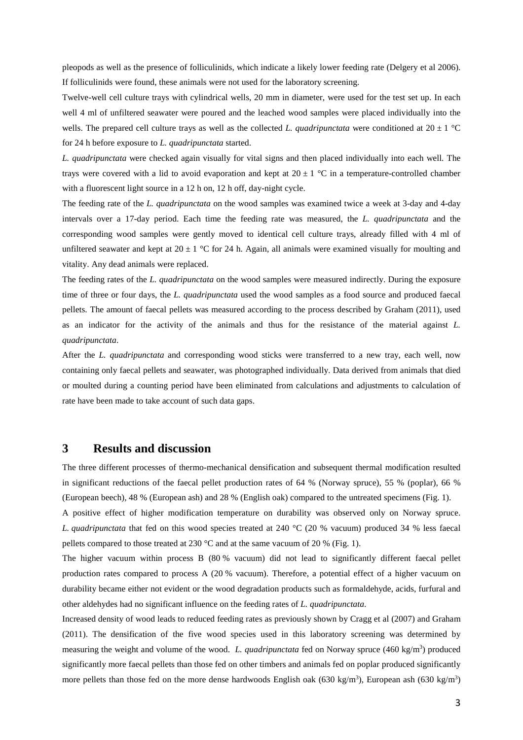pleopods as well as the presence of folliculinids, which indicate a likely lower feeding rate (Delgery et al 2006). If folliculinids were found, these animals were not used for the laboratory screening.

Twelve-well cell culture trays with cylindrical wells, 20 mm in diameter, were used for the test set up. In each well 4 ml of unfiltered seawater were poured and the leached wood samples were placed individually into the wells. The prepared cell culture trays as well as the collected *L. quadripunctata* were conditioned at  $20 \pm 1$  °C for 24 h before exposure to *L. quadripunctata* started.

*L. quadripunctata* were checked again visually for vital signs and then placed individually into each well. The trays were covered with a lid to avoid evaporation and kept at  $20 \pm 1$  °C in a temperature-controlled chamber with a fluorescent light source in a 12 h on, 12 h off, day-night cycle.

The feeding rate of the *L. quadripunctata* on the wood samples was examined twice a week at 3-day and 4-day intervals over a 17-day period. Each time the feeding rate was measured, the *L. quadripunctata* and the corresponding wood samples were gently moved to identical cell culture trays, already filled with 4 ml of unfiltered seawater and kept at  $20 \pm 1$  °C for 24 h. Again, all animals were examined visually for moulting and vitality. Any dead animals were replaced.

The feeding rates of the *L. quadripunctata* on the wood samples were measured indirectly. During the exposure time of three or four days, the *L. quadripunctata* used the wood samples as a food source and produced faecal pellets. The amount of faecal pellets was measured according to the process described by Graham (2011), used as an indicator for the activity of the animals and thus for the resistance of the material against *L. quadripunctata*.

After the *L. quadripunctata* and corresponding wood sticks were transferred to a new tray, each well, now containing only faecal pellets and seawater, was photographed individually. Data derived from animals that died or moulted during a counting period have been eliminated from calculations and adjustments to calculation of rate have been made to take account of such data gaps.

## **3 Results and discussion**

The three different processes of thermo-mechanical densification and subsequent thermal modification resulted in significant reductions of the faecal pellet production rates of 64 % (Norway spruce), 55 % (poplar), 66 % (European beech), 48 % (European ash) and 28 % (English oak) compared to the untreated specimens (Fig. 1).

A positive effect of higher modification temperature on durability was observed only on Norway spruce. *L. quadripunctata* that fed on this wood species treated at 240 °C (20 % vacuum) produced 34 % less faecal pellets compared to those treated at 230 °C and at the same vacuum of 20 % (Fig. 1).

The higher vacuum within process B (80 % vacuum) did not lead to significantly different faecal pellet production rates compared to process A (20 % vacuum). Therefore, a potential effect of a higher vacuum on durability became either not evident or the wood degradation products such as formaldehyde, acids, furfural and other aldehydes had no significant influence on the feeding rates of *L. quadripunctata*.

Increased density of wood leads to reduced feeding rates as previously shown by Cragg et al (2007) and Graham (2011). The densification of the five wood species used in this laboratory screening was determined by measuring the weight and volume of the wood. L. quadripunctata fed on Norway spruce (460 kg/m<sup>3</sup>) produced significantly more faecal pellets than those fed on other timbers and animals fed on poplar produced significantly more pellets than those fed on the more dense hardwoods English oak  $(630 \text{ kg/m}^3)$ , European ash  $(630 \text{ kg/m}^3)$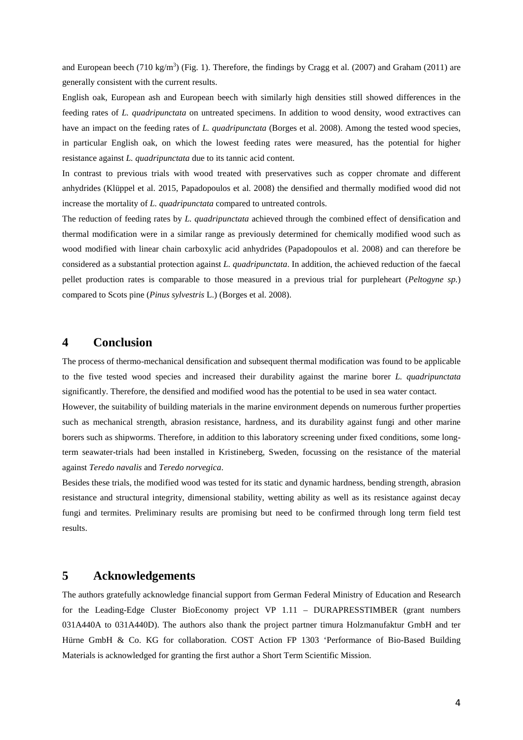and European beech  $(710 \text{ kg/m}^3)$  (Fig. 1). Therefore, the findings by Cragg et al. (2007) and Graham (2011) are generally consistent with the current results.

English oak, European ash and European beech with similarly high densities still showed differences in the feeding rates of *L. quadripunctata* on untreated specimens. In addition to wood density, wood extractives can have an impact on the feeding rates of *L. quadripunctata* (Borges et al. 2008). Among the tested wood species, in particular English oak, on which the lowest feeding rates were measured, has the potential for higher resistance against *L. quadripunctata* due to its tannic acid content.

In contrast to previous trials with wood treated with preservatives such as copper chromate and different anhydrides (Klüppel et al. 2015, Papadopoulos et al. 2008) the densified and thermally modified wood did not increase the mortality of *L. quadripunctata* compared to untreated controls.

The reduction of feeding rates by *L. quadripunctata* achieved through the combined effect of densification and thermal modification were in a similar range as previously determined for chemically modified wood such as wood modified with linear chain carboxylic acid anhydrides (Papadopoulos et al. 2008) and can therefore be considered as a substantial protection against *L. quadripunctata*. In addition, the achieved reduction of the faecal pellet production rates is comparable to those measured in a previous trial for purpleheart (*Peltogyne sp.*) compared to Scots pine (*Pinus sylvestris* L.) (Borges et al. 2008).

## **4 Conclusion**

The process of thermo-mechanical densification and subsequent thermal modification was found to be applicable to the five tested wood species and increased their durability against the marine borer *L. quadripunctata* significantly. Therefore, the densified and modified wood has the potential to be used in sea water contact.

However, the suitability of building materials in the marine environment depends on numerous further properties such as mechanical strength, abrasion resistance, hardness, and its durability against fungi and other marine borers such as shipworms. Therefore, in addition to this laboratory screening under fixed conditions, some longterm seawater-trials had been installed in Kristineberg, Sweden, focussing on the resistance of the material against *Teredo navalis* and *Teredo norvegica*.

Besides these trials, the modified wood was tested for its static and dynamic hardness, bending strength, abrasion resistance and structural integrity, dimensional stability, wetting ability as well as its resistance against decay fungi and termites. Preliminary results are promising but need to be confirmed through long term field test results.

## **5 Acknowledgements**

The authors gratefully acknowledge financial support from German Federal Ministry of Education and Research for the Leading-Edge Cluster BioEconomy project VP 1.11 – DURAPRESSTIMBER (grant numbers 031A440A to 031A440D). The authors also thank the project partner timura Holzmanufaktur GmbH and ter Hürne GmbH & Co. KG for collaboration. COST Action FP 1303 'Performance of Bio-Based Building Materials is acknowledged for granting the first author a Short Term Scientific Mission.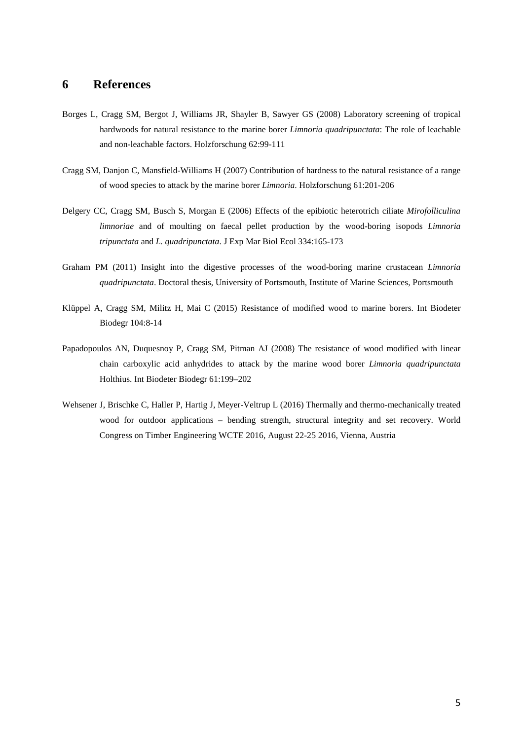## **6 References**

- Borges L, Cragg SM, Bergot J, Williams JR, Shayler B, Sawyer GS (2008) Laboratory screening of tropical hardwoods for natural resistance to the marine borer *Limnoria quadripunctata*: The role of leachable and non-leachable factors. Holzforschung 62:99-111
- Cragg SM, Danjon C, Mansfield-Williams H (2007) Contribution of hardness to the natural resistance of a range of wood species to attack by the marine borer *Limnoria*. Holzforschung 61:201-206
- Delgery CC, Cragg SM, Busch S, Morgan E (2006) Effects of the epibiotic heterotrich ciliate *Mirofolliculina limnoriae* and of moulting on faecal pellet production by the wood-boring isopods *Limnoria tripunctata* and *L. quadripunctata*. J Exp Mar Biol Ecol 334:165-173
- Graham PM (2011) Insight into the digestive processes of the wood-boring marine crustacean *Limnoria quadripunctata*. Doctoral thesis, University of Portsmouth, Institute of Marine Sciences, Portsmouth
- Klüppel A, Cragg SM, Militz H, Mai C (2015) Resistance of modified wood to marine borers. Int Biodeter Biodegr 104:8-14
- Papadopoulos AN, Duquesnoy P, Cragg SM, Pitman AJ (2008) The resistance of wood modified with linear chain carboxylic acid anhydrides to attack by the marine wood borer *Limnoria quadripunctata* Holthius. Int Biodeter Biodegr 61:199–202
- Wehsener J, Brischke C, Haller P, Hartig J, Meyer-Veltrup L (2016) Thermally and thermo-mechanically treated wood for outdoor applications – bending strength, structural integrity and set recovery. World Congress on Timber Engineering WCTE 2016, August 22-25 2016, Vienna, Austria